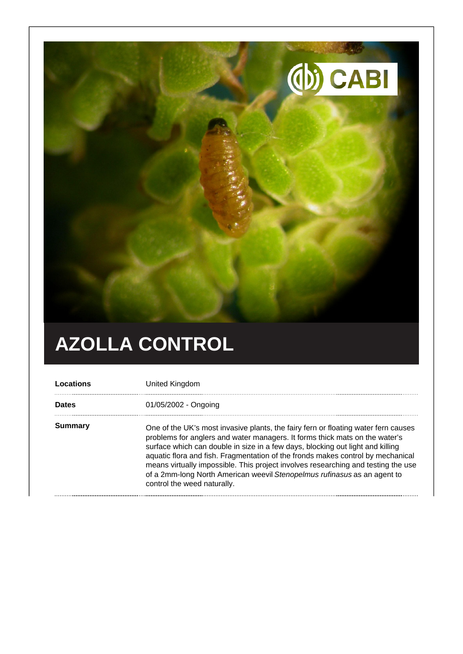

## **AZOLLA CONTROL**

| Locations    | United Kingdom                                                                                                                                                                                                                                                                                                                                                                                                                                                                                                                         |
|--------------|----------------------------------------------------------------------------------------------------------------------------------------------------------------------------------------------------------------------------------------------------------------------------------------------------------------------------------------------------------------------------------------------------------------------------------------------------------------------------------------------------------------------------------------|
| <b>Dates</b> | 01/05/2002 - Ongoing                                                                                                                                                                                                                                                                                                                                                                                                                                                                                                                   |
| Summary      | One of the UK's most invasive plants, the fairy fern or floating water fern causes<br>problems for anglers and water managers. It forms thick mats on the water's<br>surface which can double in size in a few days, blocking out light and killing<br>aquatic flora and fish. Fragmentation of the fronds makes control by mechanical<br>means virtually impossible. This project involves researching and testing the use<br>of a 2mm-long North American weevil Stenopelmus rufinasus as an agent to<br>control the weed naturally. |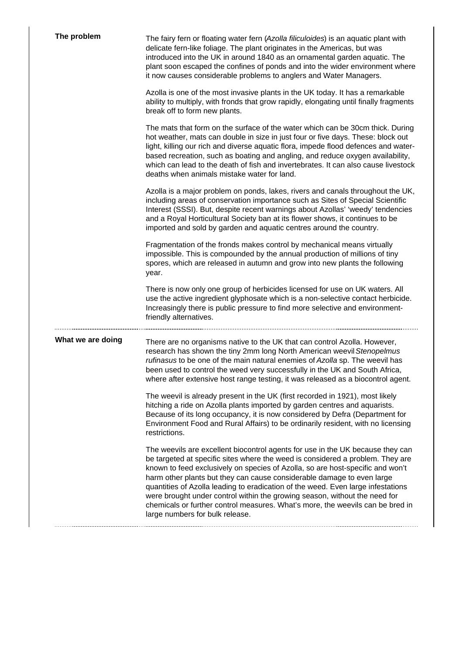| The problem       | The fairy fern or floating water fern (Azolla filiculoides) is an aquatic plant with<br>delicate fern-like foliage. The plant originates in the Americas, but was<br>introduced into the UK in around 1840 as an ornamental garden aquatic. The<br>plant soon escaped the confines of ponds and into the wider environment where<br>it now causes considerable problems to anglers and Water Managers.                                                                                                                                                                                                              |
|-------------------|---------------------------------------------------------------------------------------------------------------------------------------------------------------------------------------------------------------------------------------------------------------------------------------------------------------------------------------------------------------------------------------------------------------------------------------------------------------------------------------------------------------------------------------------------------------------------------------------------------------------|
|                   | Azolla is one of the most invasive plants in the UK today. It has a remarkable<br>ability to multiply, with fronds that grow rapidly, elongating until finally fragments<br>break off to form new plants.                                                                                                                                                                                                                                                                                                                                                                                                           |
|                   | The mats that form on the surface of the water which can be 30cm thick. During<br>hot weather, mats can double in size in just four or five days. These: block out<br>light, killing our rich and diverse aquatic flora, impede flood defences and water-<br>based recreation, such as boating and angling, and reduce oxygen availability,<br>which can lead to the death of fish and invertebrates. It can also cause livestock<br>deaths when animals mistake water for land.                                                                                                                                    |
|                   | Azolla is a major problem on ponds, lakes, rivers and canals throughout the UK,<br>including areas of conservation importance such as Sites of Special Scientific<br>Interest (SSSI). But, despite recent warnings about Azollas' 'weedy' tendencies<br>and a Royal Horticultural Society ban at its flower shows, it continues to be<br>imported and sold by garden and aquatic centres around the country.                                                                                                                                                                                                        |
|                   | Fragmentation of the fronds makes control by mechanical means virtually<br>impossible. This is compounded by the annual production of millions of tiny<br>spores, which are released in autumn and grow into new plants the following<br>year.                                                                                                                                                                                                                                                                                                                                                                      |
|                   | There is now only one group of herbicides licensed for use on UK waters. All<br>use the active ingredient glyphosate which is a non-selective contact herbicide.<br>Increasingly there is public pressure to find more selective and environment-<br>friendly alternatives.                                                                                                                                                                                                                                                                                                                                         |
| What we are doing | There are no organisms native to the UK that can control Azolla. However,<br>research has shown the tiny 2mm long North American weevil Stenopelmus<br>rufinasus to be one of the main natural enemies of Azolla sp. The weevil has<br>been used to control the weed very successfully in the UK and South Africa,<br>where after extensive host range testing, it was released as a biocontrol agent.                                                                                                                                                                                                              |
|                   | The weevil is already present in the UK (first recorded in 1921), most likely<br>hitching a ride on Azolla plants imported by garden centres and aquarists.<br>Because of its long occupancy, it is now considered by Defra (Department for<br>Environment Food and Rural Affairs) to be ordinarily resident, with no licensing<br>restrictions.                                                                                                                                                                                                                                                                    |
|                   | The weevils are excellent biocontrol agents for use in the UK because they can<br>be targeted at specific sites where the weed is considered a problem. They are<br>known to feed exclusively on species of Azolla, so are host-specific and won't<br>harm other plants but they can cause considerable damage to even large<br>quantities of Azolla leading to eradication of the weed. Even large infestations<br>were brought under control within the growing season, without the need for<br>chemicals or further control measures. What's more, the weevils can be bred in<br>large numbers for bulk release. |